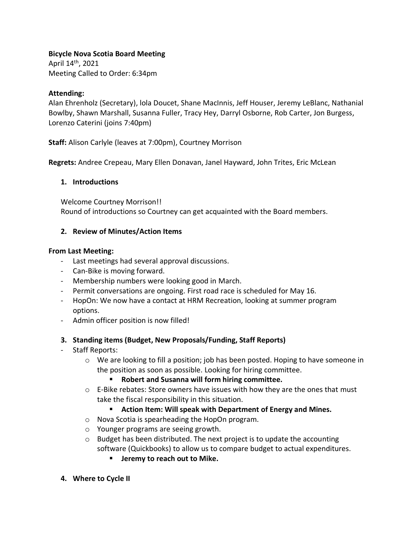## **Bicycle Nova Scotia Board Meeting**

April 14th, 2021 Meeting Called to Order: 6:34pm

## **Attending:**

Alan Ehrenholz (Secretary), lola Doucet, Shane MacInnis, Jeff Houser, Jeremy LeBlanc, Nathanial Bowlby, Shawn Marshall, Susanna Fuller, Tracy Hey, Darryl Osborne, Rob Carter, Jon Burgess, Lorenzo Caterini (joins 7:40pm)

**Staff:** Alison Carlyle (leaves at 7:00pm), Courtney Morrison

**Regrets:** Andree Crepeau, Mary Ellen Donavan, Janel Hayward, John Trites, Eric McLean

### **1. Introductions**

Welcome Courtney Morrison!! Round of introductions so Courtney can get acquainted with the Board members.

### **2. Review of Minutes/Action Items**

#### **From Last Meeting:**

- Last meetings had several approval discussions.
- Can-Bike is moving forward.
- Membership numbers were looking good in March.
- Permit conversations are ongoing. First road race is scheduled for May 16.
- HopOn: We now have a contact at HRM Recreation, looking at summer program options.
- Admin officer position is now filled!

#### **3. Standing items (Budget, New Proposals/Funding, Staff Reports)**

- Staff Reports:
	- $\circ$  We are looking to fill a position; job has been posted. Hoping to have someone in the position as soon as possible. Looking for hiring committee.
		- **Robert and Susanna will form hiring committee.**
	- $\circ$  E-Bike rebates: Store owners have issues with how they are the ones that must take the fiscal responsibility in this situation.
		- **Action Item: Will speak with Department of Energy and Mines.**
	- o Nova Scotia is spearheading the HopOn program.
	- o Younger programs are seeing growth.
	- $\circ$  Budget has been distributed. The next project is to update the accounting software (Quickbooks) to allow us to compare budget to actual expenditures.
		- **Jeremy to reach out to Mike.**
- **4. Where to Cycle II**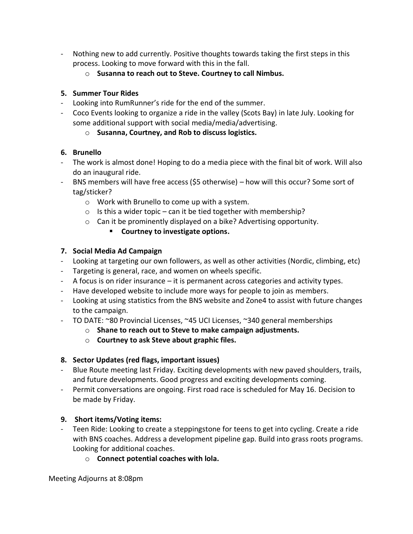- Nothing new to add currently. Positive thoughts towards taking the first steps in this process. Looking to move forward with this in the fall.
	- o **Susanna to reach out to Steve. Courtney to call Nimbus.**

## **5. Summer Tour Rides**

- Looking into RumRunner's ride for the end of the summer.
- Coco Events looking to organize a ride in the valley (Scots Bay) in late July. Looking for some additional support with social media/media/advertising.
	- o **Susanna, Courtney, and Rob to discuss logistics.**

## **6. Brunello**

- The work is almost done! Hoping to do a media piece with the final bit of work. Will also do an inaugural ride.
- BNS members will have free access (\$5 otherwise) how will this occur? Some sort of tag/sticker?
	- o Work with Brunello to come up with a system.
	- $\circ$  Is this a wider topic can it be tied together with membership?
	- o Can it be prominently displayed on a bike? Advertising opportunity.
		- **Courtney to investigate options.**

## **7. Social Media Ad Campaign**

- Looking at targeting our own followers, as well as other activities (Nordic, climbing, etc)
- Targeting is general, race, and women on wheels specific.
- A focus is on rider insurance it is permanent across categories and activity types.
- Have developed website to include more ways for people to join as members.
- Looking at using statistics from the BNS website and Zone4 to assist with future changes to the campaign.
- TO DATE: ~80 Provincial Licenses, ~45 UCI Licenses, ~340 general memberships
	- o **Shane to reach out to Steve to make campaign adjustments.**
	- o **Courtney to ask Steve about graphic files.**

# **8. Sector Updates (red flags, important issues)**

- Blue Route meeting last Friday. Exciting developments with new paved shoulders, trails, and future developments. Good progress and exciting developments coming.
- Permit conversations are ongoing. First road race is scheduled for May 16. Decision to be made by Friday.

# **9. Short items/Voting items:**

- Teen Ride: Looking to create a steppingstone for teens to get into cycling. Create a ride with BNS coaches. Address a development pipeline gap. Build into grass roots programs. Looking for additional coaches.
	- o **Connect potential coaches with lola.**

Meeting Adjourns at 8:08pm